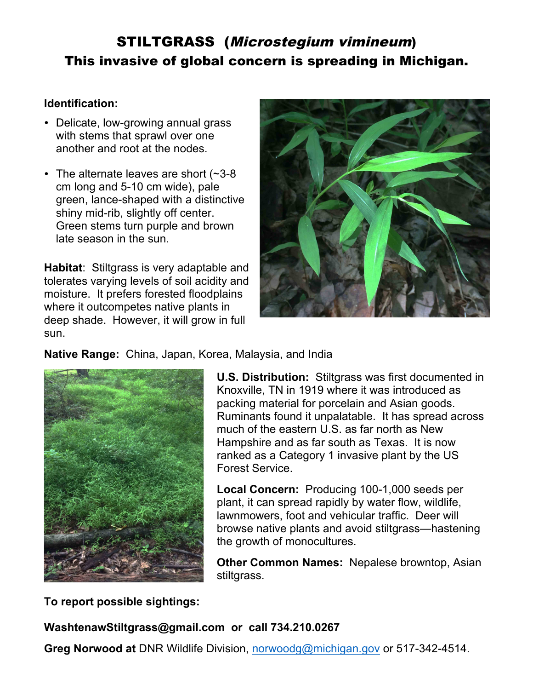# STILTGRASS (Microstegium vimineum) This invasive of global concern is spreading in Michigan.

#### **Identification:**

- Delicate, low-growing annual grass with stems that sprawl over one another and root at the nodes.
- The alternate leaves are short (~3-8 cm long and 5-10 cm wide), pale green, lance-shaped with a distinctive shiny mid-rib, slightly off center. Green stems turn purple and brown late season in the sun.

**Habitat**: Stiltgrass is very adaptable and tolerates varying levels of soil acidity and moisture. It prefers forested floodplains where it outcompetes native plants in deep shade. However, it will grow in full sun.



#### **Native Range:** China, Japan, Korea, Malaysia, and India



**U.S. Distribution:** Stiltgrass was first documented in Knoxville, TN in 1919 where it was introduced as packing material for porcelain and Asian goods. Ruminants found it unpalatable. It has spread across much of the eastern U.S. as far north as New Hampshire and as far south as Texas. It is now ranked as a Category 1 invasive plant by the US Forest Service.

**Local Concern:** Producing 100-1,000 seeds per plant, it can spread rapidly by water flow, wildlife, lawnmowers, foot and vehicular traffic. Deer will browse native plants and avoid stiltgrass—hastening the growth of monocultures.

**Other Common Names:** Nepalese browntop, Asian stiltgrass.

**To report possible sightings:** 

**WashtenawStiltgrass@gmail.com or call 734.210.0267**

**Greg Norwood at** DNR Wildlife Division, norwoodg@michigan.gov or 517-342-4514.